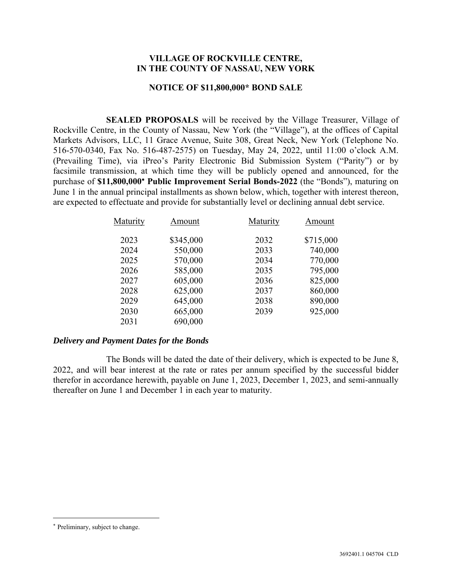## **VILLAGE OF ROCKVILLE CENTRE, IN THE COUNTY OF NASSAU, NEW YORK**

#### **NOTICE OF \$11,800,000\* BOND SALE**

**SEALED PROPOSALS** will be received by the Village Treasurer, Village of Rockville Centre, in the County of Nassau, New York (the "Village"), at the offices of Capital Markets Advisors, LLC, 11 Grace Avenue, Suite 308, Great Neck, New York (Telephone No. 516-570-0340, Fax No. 516-487-2575) on Tuesday, May 24, 2022, until 11:00 o'clock A.M. (Prevailing Time), via iPreo's Parity Electronic Bid Submission System ("Parity") or by facsimile transmission, at which time they will be publicly opened and announced, for the purchase of **\$11,800,000 Public Improvement Serial Bonds-2022** (the "Bonds"), maturing on June 1 in the annual principal installments as shown below, which, together with interest thereon, are expected to effectuate and provide for substantially level or declining annual debt service.

| Maturity | Amount    | Maturity | Amount    |
|----------|-----------|----------|-----------|
| 2023     | \$345,000 | 2032     | \$715,000 |
| 2024     | 550,000   | 2033     | 740,000   |
| 2025     | 570,000   | 2034     | 770,000   |
| 2026     | 585,000   | 2035     | 795,000   |
| 2027     | 605,000   | 2036     | 825,000   |
| 2028     | 625,000   | 2037     | 860,000   |
| 2029     | 645,000   | 2038     | 890,000   |
| 2030     | 665,000   | 2039     | 925,000   |
| 2031     | 690,000   |          |           |
|          |           |          |           |

## *Delivery and Payment Dates for the Bonds*

The Bonds will be dated the date of their delivery, which is expected to be June 8, 2022, and will bear interest at the rate or rates per annum specified by the successful bidder therefor in accordance herewith, payable on June 1, 2023, December 1, 2023, and semi-annually thereafter on June 1 and December 1 in each year to maturity.

Preliminary, subject to change.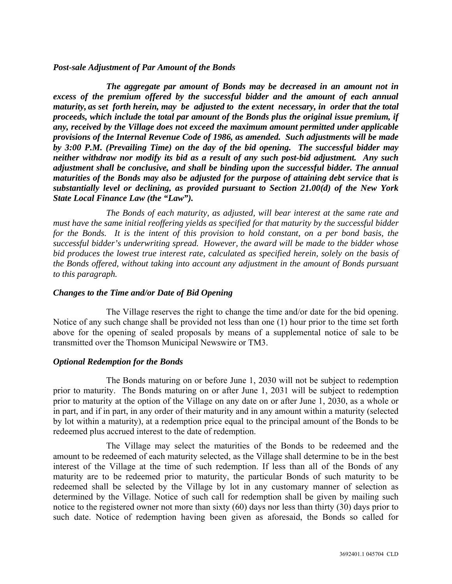## *Post-sale Adjustment of Par Amount of the Bonds*

*The aggregate par amount of Bonds may be decreased in an amount not in excess of the premium offered by the successful bidder and the amount of each annual maturity, as set forth herein, may be adjusted to the extent necessary, in order that the total proceeds, which include the total par amount of the Bonds plus the original issue premium, if any, received by the Village does not exceed the maximum amount permitted under applicable provisions of the Internal Revenue Code of 1986, as amended. Such adjustments will be made by 3:00 P.M. (Prevailing Time) on the day of the bid opening. The successful bidder may neither withdraw nor modify its bid as a result of any such post-bid adjustment. Any such adjustment shall be conclusive, and shall be binding upon the successful bidder. The annual maturities of the Bonds may also be adjusted for the purpose of attaining debt service that is substantially level or declining, as provided pursuant to Section 21.00(d) of the New York State Local Finance Law (the "Law").* 

*The Bonds of each maturity, as adjusted, will bear interest at the same rate and must have the same initial reoffering yields as specified for that maturity by the successful bidder for the Bonds. It is the intent of this provision to hold constant, on a per bond basis, the successful bidder's underwriting spread. However, the award will be made to the bidder whose bid produces the lowest true interest rate, calculated as specified herein, solely on the basis of the Bonds offered, without taking into account any adjustment in the amount of Bonds pursuant to this paragraph.*

## *Changes to the Time and/or Date of Bid Opening*

The Village reserves the right to change the time and/or date for the bid opening. Notice of any such change shall be provided not less than one (1) hour prior to the time set forth above for the opening of sealed proposals by means of a supplemental notice of sale to be transmitted over the Thomson Municipal Newswire or TM3.

## *Optional Redemption for the Bonds*

The Bonds maturing on or before June 1, 2030 will not be subject to redemption prior to maturity. The Bonds maturing on or after June 1, 2031 will be subject to redemption prior to maturity at the option of the Village on any date on or after June 1, 2030, as a whole or in part, and if in part, in any order of their maturity and in any amount within a maturity (selected by lot within a maturity), at a redemption price equal to the principal amount of the Bonds to be redeemed plus accrued interest to the date of redemption.

The Village may select the maturities of the Bonds to be redeemed and the amount to be redeemed of each maturity selected, as the Village shall determine to be in the best interest of the Village at the time of such redemption. If less than all of the Bonds of any maturity are to be redeemed prior to maturity, the particular Bonds of such maturity to be redeemed shall be selected by the Village by lot in any customary manner of selection as determined by the Village. Notice of such call for redemption shall be given by mailing such notice to the registered owner not more than sixty (60) days nor less than thirty (30) days prior to such date. Notice of redemption having been given as aforesaid, the Bonds so called for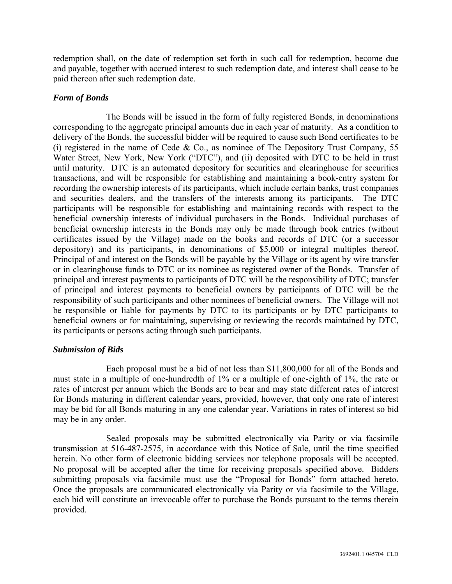redemption shall, on the date of redemption set forth in such call for redemption, become due and payable, together with accrued interest to such redemption date, and interest shall cease to be paid thereon after such redemption date.

# *Form of Bonds*

The Bonds will be issued in the form of fully registered Bonds, in denominations corresponding to the aggregate principal amounts due in each year of maturity. As a condition to delivery of the Bonds, the successful bidder will be required to cause such Bond certificates to be (i) registered in the name of Cede & Co., as nominee of The Depository Trust Company, 55 Water Street, New York, New York ("DTC"), and (ii) deposited with DTC to be held in trust until maturity. DTC is an automated depository for securities and clearinghouse for securities transactions, and will be responsible for establishing and maintaining a book-entry system for recording the ownership interests of its participants, which include certain banks, trust companies and securities dealers, and the transfers of the interests among its participants. The DTC participants will be responsible for establishing and maintaining records with respect to the beneficial ownership interests of individual purchasers in the Bonds. Individual purchases of beneficial ownership interests in the Bonds may only be made through book entries (without certificates issued by the Village) made on the books and records of DTC (or a successor depository) and its participants, in denominations of \$5,000 or integral multiples thereof. Principal of and interest on the Bonds will be payable by the Village or its agent by wire transfer or in clearinghouse funds to DTC or its nominee as registered owner of the Bonds. Transfer of principal and interest payments to participants of DTC will be the responsibility of DTC; transfer of principal and interest payments to beneficial owners by participants of DTC will be the responsibility of such participants and other nominees of beneficial owners. The Village will not be responsible or liable for payments by DTC to its participants or by DTC participants to beneficial owners or for maintaining, supervising or reviewing the records maintained by DTC, its participants or persons acting through such participants.

# *Submission of Bids*

Each proposal must be a bid of not less than \$11,800,000 for all of the Bonds and must state in a multiple of one-hundredth of 1% or a multiple of one-eighth of 1%, the rate or rates of interest per annum which the Bonds are to bear and may state different rates of interest for Bonds maturing in different calendar years, provided, however, that only one rate of interest may be bid for all Bonds maturing in any one calendar year. Variations in rates of interest so bid may be in any order.

Sealed proposals may be submitted electronically via Parity or via facsimile transmission at 516-487-2575, in accordance with this Notice of Sale, until the time specified herein. No other form of electronic bidding services nor telephone proposals will be accepted. No proposal will be accepted after the time for receiving proposals specified above. Bidders submitting proposals via facsimile must use the "Proposal for Bonds" form attached hereto. Once the proposals are communicated electronically via Parity or via facsimile to the Village, each bid will constitute an irrevocable offer to purchase the Bonds pursuant to the terms therein provided.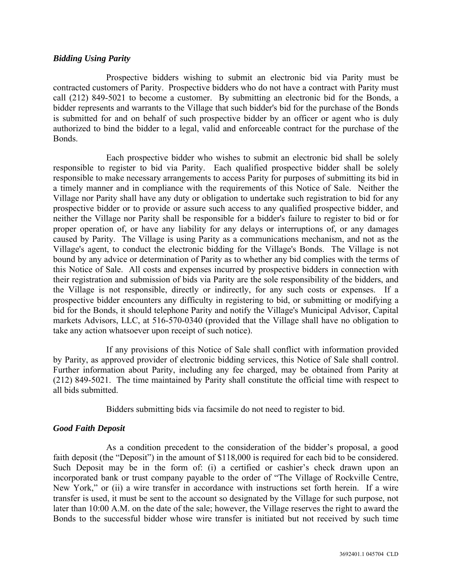## *Bidding Using Parity*

Prospective bidders wishing to submit an electronic bid via Parity must be contracted customers of Parity. Prospective bidders who do not have a contract with Parity must call (212) 849-5021 to become a customer. By submitting an electronic bid for the Bonds, a bidder represents and warrants to the Village that such bidder's bid for the purchase of the Bonds is submitted for and on behalf of such prospective bidder by an officer or agent who is duly authorized to bind the bidder to a legal, valid and enforceable contract for the purchase of the Bonds.

Each prospective bidder who wishes to submit an electronic bid shall be solely responsible to register to bid via Parity. Each qualified prospective bidder shall be solely responsible to make necessary arrangements to access Parity for purposes of submitting its bid in a timely manner and in compliance with the requirements of this Notice of Sale. Neither the Village nor Parity shall have any duty or obligation to undertake such registration to bid for any prospective bidder or to provide or assure such access to any qualified prospective bidder, and neither the Village nor Parity shall be responsible for a bidder's failure to register to bid or for proper operation of, or have any liability for any delays or interruptions of, or any damages caused by Parity. The Village is using Parity as a communications mechanism, and not as the Village's agent, to conduct the electronic bidding for the Village's Bonds. The Village is not bound by any advice or determination of Parity as to whether any bid complies with the terms of this Notice of Sale. All costs and expenses incurred by prospective bidders in connection with their registration and submission of bids via Parity are the sole responsibility of the bidders, and the Village is not responsible, directly or indirectly, for any such costs or expenses. If a prospective bidder encounters any difficulty in registering to bid, or submitting or modifying a bid for the Bonds, it should telephone Parity and notify the Village's Municipal Advisor, Capital markets Advisors, LLC, at 516-570-0340 (provided that the Village shall have no obligation to take any action whatsoever upon receipt of such notice).

If any provisions of this Notice of Sale shall conflict with information provided by Parity, as approved provider of electronic bidding services, this Notice of Sale shall control. Further information about Parity, including any fee charged, may be obtained from Parity at (212) 849-5021. The time maintained by Parity shall constitute the official time with respect to all bids submitted.

Bidders submitting bids via facsimile do not need to register to bid.

# *Good Faith Deposit*

As a condition precedent to the consideration of the bidder's proposal, a good faith deposit (the "Deposit") in the amount of \$118,000 is required for each bid to be considered. Such Deposit may be in the form of: (i) a certified or cashier's check drawn upon an incorporated bank or trust company payable to the order of "The Village of Rockville Centre, New York," or (ii) a wire transfer in accordance with instructions set forth herein. If a wire transfer is used, it must be sent to the account so designated by the Village for such purpose, not later than 10:00 A.M. on the date of the sale; however, the Village reserves the right to award the Bonds to the successful bidder whose wire transfer is initiated but not received by such time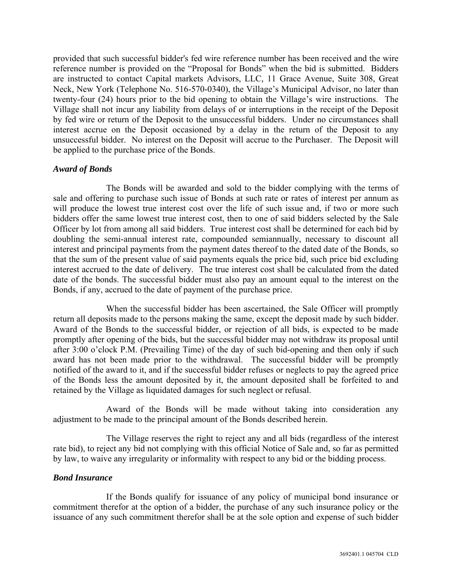provided that such successful bidder's fed wire reference number has been received and the wire reference number is provided on the "Proposal for Bonds" when the bid is submitted. Bidders are instructed to contact Capital markets Advisors, LLC, 11 Grace Avenue, Suite 308, Great Neck, New York (Telephone No. 516-570-0340), the Village's Municipal Advisor, no later than twenty-four (24) hours prior to the bid opening to obtain the Village's wire instructions. The Village shall not incur any liability from delays of or interruptions in the receipt of the Deposit by fed wire or return of the Deposit to the unsuccessful bidders. Under no circumstances shall interest accrue on the Deposit occasioned by a delay in the return of the Deposit to any unsuccessful bidder. No interest on the Deposit will accrue to the Purchaser. The Deposit will be applied to the purchase price of the Bonds.

## *Award of Bonds*

The Bonds will be awarded and sold to the bidder complying with the terms of sale and offering to purchase such issue of Bonds at such rate or rates of interest per annum as will produce the lowest true interest cost over the life of such issue and, if two or more such bidders offer the same lowest true interest cost, then to one of said bidders selected by the Sale Officer by lot from among all said bidders. True interest cost shall be determined for each bid by doubling the semi-annual interest rate, compounded semiannually, necessary to discount all interest and principal payments from the payment dates thereof to the dated date of the Bonds, so that the sum of the present value of said payments equals the price bid, such price bid excluding interest accrued to the date of delivery. The true interest cost shall be calculated from the dated date of the bonds. The successful bidder must also pay an amount equal to the interest on the Bonds, if any, accrued to the date of payment of the purchase price.

When the successful bidder has been ascertained, the Sale Officer will promptly return all deposits made to the persons making the same, except the deposit made by such bidder. Award of the Bonds to the successful bidder, or rejection of all bids, is expected to be made promptly after opening of the bids, but the successful bidder may not withdraw its proposal until after 3:00 o'clock P.M. (Prevailing Time) of the day of such bid-opening and then only if such award has not been made prior to the withdrawal. The successful bidder will be promptly notified of the award to it, and if the successful bidder refuses or neglects to pay the agreed price of the Bonds less the amount deposited by it, the amount deposited shall be forfeited to and retained by the Village as liquidated damages for such neglect or refusal.

Award of the Bonds will be made without taking into consideration any adjustment to be made to the principal amount of the Bonds described herein.

The Village reserves the right to reject any and all bids (regardless of the interest rate bid), to reject any bid not complying with this official Notice of Sale and, so far as permitted by law, to waive any irregularity or informality with respect to any bid or the bidding process.

#### *Bond Insurance*

If the Bonds qualify for issuance of any policy of municipal bond insurance or commitment therefor at the option of a bidder, the purchase of any such insurance policy or the issuance of any such commitment therefor shall be at the sole option and expense of such bidder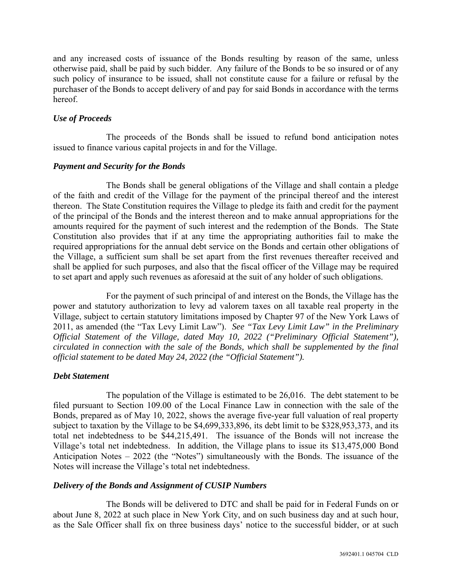and any increased costs of issuance of the Bonds resulting by reason of the same, unless otherwise paid, shall be paid by such bidder. Any failure of the Bonds to be so insured or of any such policy of insurance to be issued, shall not constitute cause for a failure or refusal by the purchaser of the Bonds to accept delivery of and pay for said Bonds in accordance with the terms hereof.

## *Use of Proceeds*

The proceeds of the Bonds shall be issued to refund bond anticipation notes issued to finance various capital projects in and for the Village.

## *Payment and Security for the Bonds*

The Bonds shall be general obligations of the Village and shall contain a pledge of the faith and credit of the Village for the payment of the principal thereof and the interest thereon. The State Constitution requires the Village to pledge its faith and credit for the payment of the principal of the Bonds and the interest thereon and to make annual appropriations for the amounts required for the payment of such interest and the redemption of the Bonds. The State Constitution also provides that if at any time the appropriating authorities fail to make the required appropriations for the annual debt service on the Bonds and certain other obligations of the Village, a sufficient sum shall be set apart from the first revenues thereafter received and shall be applied for such purposes, and also that the fiscal officer of the Village may be required to set apart and apply such revenues as aforesaid at the suit of any holder of such obligations.

For the payment of such principal of and interest on the Bonds, the Village has the power and statutory authorization to levy ad valorem taxes on all taxable real property in the Village, subject to certain statutory limitations imposed by Chapter 97 of the New York Laws of 2011, as amended (the "Tax Levy Limit Law"). *See "Tax Levy Limit Law" in the Preliminary Official Statement of the Village, dated May 10, 2022 ("Preliminary Official Statement"), circulated in connection with the sale of the Bonds, which shall be supplemented by the final official statement to be dated May 24, 2022 (the "Official Statement").* 

# *Debt Statement*

The population of the Village is estimated to be 26,016. The debt statement to be filed pursuant to Section 109.00 of the Local Finance Law in connection with the sale of the Bonds, prepared as of May 10, 2022, shows the average five-year full valuation of real property subject to taxation by the Village to be \$4,699,333,896, its debt limit to be \$328,953,373, and its total net indebtedness to be \$44,215,491. The issuance of the Bonds will not increase the Village's total net indebtedness. In addition, the Village plans to issue its \$13,475,000 Bond Anticipation Notes – 2022 (the "Notes") simultaneously with the Bonds. The issuance of the Notes will increase the Village's total net indebtedness.

# *Delivery of the Bonds and Assignment of CUSIP Numbers*

The Bonds will be delivered to DTC and shall be paid for in Federal Funds on or about June 8, 2022 at such place in New York City, and on such business day and at such hour, as the Sale Officer shall fix on three business days' notice to the successful bidder, or at such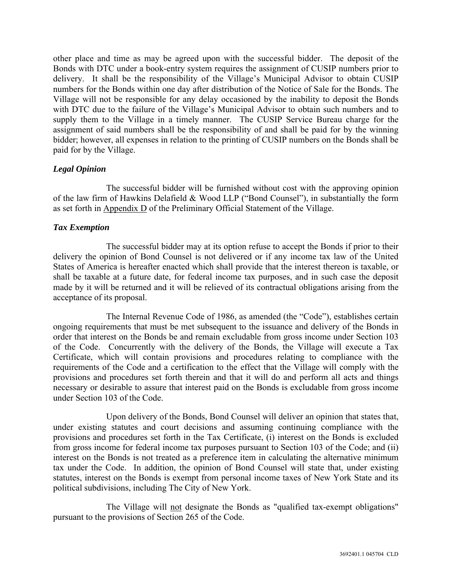other place and time as may be agreed upon with the successful bidder. The deposit of the Bonds with DTC under a book-entry system requires the assignment of CUSIP numbers prior to delivery. It shall be the responsibility of the Village's Municipal Advisor to obtain CUSIP numbers for the Bonds within one day after distribution of the Notice of Sale for the Bonds. The Village will not be responsible for any delay occasioned by the inability to deposit the Bonds with DTC due to the failure of the Village's Municipal Advisor to obtain such numbers and to supply them to the Village in a timely manner. The CUSIP Service Bureau charge for the assignment of said numbers shall be the responsibility of and shall be paid for by the winning bidder; however, all expenses in relation to the printing of CUSIP numbers on the Bonds shall be paid for by the Village.

# *Legal Opinion*

The successful bidder will be furnished without cost with the approving opinion of the law firm of Hawkins Delafield & Wood LLP ("Bond Counsel"), in substantially the form as set forth in Appendix D of the Preliminary Official Statement of the Village.

# *Tax Exemption*

The successful bidder may at its option refuse to accept the Bonds if prior to their delivery the opinion of Bond Counsel is not delivered or if any income tax law of the United States of America is hereafter enacted which shall provide that the interest thereon is taxable, or shall be taxable at a future date, for federal income tax purposes, and in such case the deposit made by it will be returned and it will be relieved of its contractual obligations arising from the acceptance of its proposal.

The Internal Revenue Code of 1986, as amended (the "Code"), establishes certain ongoing requirements that must be met subsequent to the issuance and delivery of the Bonds in order that interest on the Bonds be and remain excludable from gross income under Section 103 of the Code. Concurrently with the delivery of the Bonds, the Village will execute a Tax Certificate, which will contain provisions and procedures relating to compliance with the requirements of the Code and a certification to the effect that the Village will comply with the provisions and procedures set forth therein and that it will do and perform all acts and things necessary or desirable to assure that interest paid on the Bonds is excludable from gross income under Section 103 of the Code.

Upon delivery of the Bonds, Bond Counsel will deliver an opinion that states that, under existing statutes and court decisions and assuming continuing compliance with the provisions and procedures set forth in the Tax Certificate, (i) interest on the Bonds is excluded from gross income for federal income tax purposes pursuant to Section 103 of the Code; and (ii) interest on the Bonds is not treated as a preference item in calculating the alternative minimum tax under the Code. In addition, the opinion of Bond Counsel will state that, under existing statutes, interest on the Bonds is exempt from personal income taxes of New York State and its political subdivisions, including The City of New York.

The Village will not designate the Bonds as "qualified tax-exempt obligations" pursuant to the provisions of Section 265 of the Code.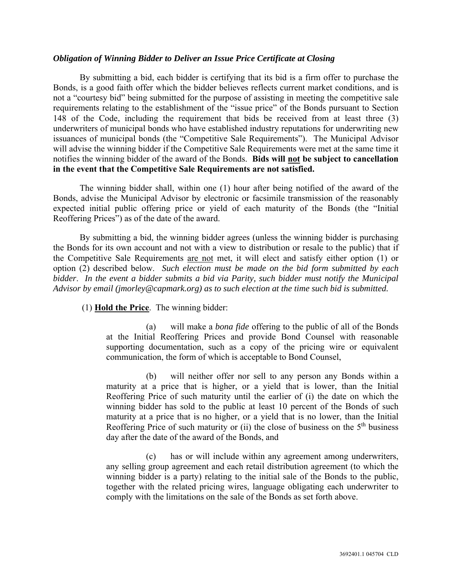## *Obligation of Winning Bidder to Deliver an Issue Price Certificate at Closing*

By submitting a bid, each bidder is certifying that its bid is a firm offer to purchase the Bonds, is a good faith offer which the bidder believes reflects current market conditions, and is not a "courtesy bid" being submitted for the purpose of assisting in meeting the competitive sale requirements relating to the establishment of the "issue price" of the Bonds pursuant to Section 148 of the Code, including the requirement that bids be received from at least three (3) underwriters of municipal bonds who have established industry reputations for underwriting new issuances of municipal bonds (the "Competitive Sale Requirements"). The Municipal Advisor will advise the winning bidder if the Competitive Sale Requirements were met at the same time it notifies the winning bidder of the award of the Bonds. **Bids will not be subject to cancellation in the event that the Competitive Sale Requirements are not satisfied.**

The winning bidder shall, within one (1) hour after being notified of the award of the Bonds, advise the Municipal Advisor by electronic or facsimile transmission of the reasonably expected initial public offering price or yield of each maturity of the Bonds (the "Initial Reoffering Prices") as of the date of the award.

By submitting a bid, the winning bidder agrees (unless the winning bidder is purchasing the Bonds for its own account and not with a view to distribution or resale to the public) that if the Competitive Sale Requirements are not met, it will elect and satisfy either option (1) or option (2) described below. *Such election must be made on the bid form submitted by each bidder*. *In the event a bidder submits a bid via Parity, such bidder must notify the Municipal Advisor by email (jmorley@capmark.org) as to such election at the time such bid is submitted.* 

(1) **Hold the Price**. The winning bidder:

(a) will make a *bona fide* offering to the public of all of the Bonds at the Initial Reoffering Prices and provide Bond Counsel with reasonable supporting documentation, such as a copy of the pricing wire or equivalent communication, the form of which is acceptable to Bond Counsel,

(b) will neither offer nor sell to any person any Bonds within a maturity at a price that is higher, or a yield that is lower, than the Initial Reoffering Price of such maturity until the earlier of (i) the date on which the winning bidder has sold to the public at least 10 percent of the Bonds of such maturity at a price that is no higher, or a yield that is no lower, than the Initial Reoffering Price of such maturity or (ii) the close of business on the  $5<sup>th</sup>$  business day after the date of the award of the Bonds, and

(c) has or will include within any agreement among underwriters, any selling group agreement and each retail distribution agreement (to which the winning bidder is a party) relating to the initial sale of the Bonds to the public, together with the related pricing wires, language obligating each underwriter to comply with the limitations on the sale of the Bonds as set forth above.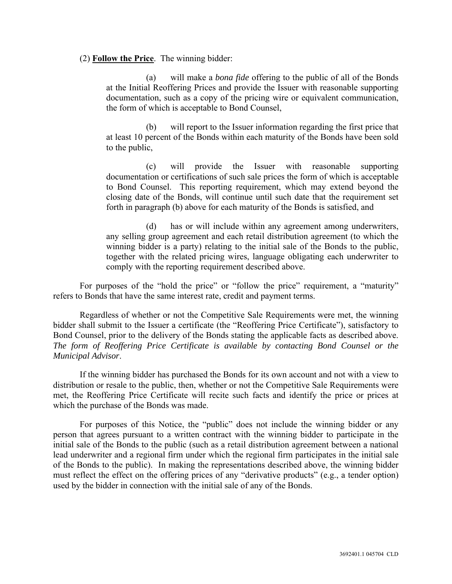## (2) **Follow the Price**. The winning bidder:

(a) will make a *bona fide* offering to the public of all of the Bonds at the Initial Reoffering Prices and provide the Issuer with reasonable supporting documentation, such as a copy of the pricing wire or equivalent communication, the form of which is acceptable to Bond Counsel,

(b) will report to the Issuer information regarding the first price that at least 10 percent of the Bonds within each maturity of the Bonds have been sold to the public,

(c) will provide the Issuer with reasonable supporting documentation or certifications of such sale prices the form of which is acceptable to Bond Counsel. This reporting requirement, which may extend beyond the closing date of the Bonds, will continue until such date that the requirement set forth in paragraph (b) above for each maturity of the Bonds is satisfied, and

(d) has or will include within any agreement among underwriters, any selling group agreement and each retail distribution agreement (to which the winning bidder is a party) relating to the initial sale of the Bonds to the public, together with the related pricing wires, language obligating each underwriter to comply with the reporting requirement described above.

For purposes of the "hold the price" or "follow the price" requirement, a "maturity" refers to Bonds that have the same interest rate, credit and payment terms.

Regardless of whether or not the Competitive Sale Requirements were met, the winning bidder shall submit to the Issuer a certificate (the "Reoffering Price Certificate"), satisfactory to Bond Counsel, prior to the delivery of the Bonds stating the applicable facts as described above. *The form of Reoffering Price Certificate is available by contacting Bond Counsel or the Municipal Advisor*.

If the winning bidder has purchased the Bonds for its own account and not with a view to distribution or resale to the public, then, whether or not the Competitive Sale Requirements were met, the Reoffering Price Certificate will recite such facts and identify the price or prices at which the purchase of the Bonds was made.

For purposes of this Notice, the "public" does not include the winning bidder or any person that agrees pursuant to a written contract with the winning bidder to participate in the initial sale of the Bonds to the public (such as a retail distribution agreement between a national lead underwriter and a regional firm under which the regional firm participates in the initial sale of the Bonds to the public). In making the representations described above, the winning bidder must reflect the effect on the offering prices of any "derivative products" (e.g., a tender option) used by the bidder in connection with the initial sale of any of the Bonds.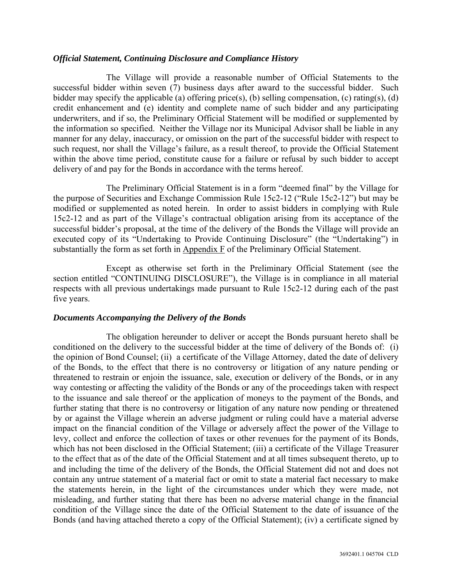## *Official Statement, Continuing Disclosure and Compliance History*

The Village will provide a reasonable number of Official Statements to the successful bidder within seven (7) business days after award to the successful bidder. Such bidder may specify the applicable (a) offering price(s), (b) selling compensation, (c) rating(s), (d) credit enhancement and (e) identity and complete name of such bidder and any participating underwriters, and if so, the Preliminary Official Statement will be modified or supplemented by the information so specified. Neither the Village nor its Municipal Advisor shall be liable in any manner for any delay, inaccuracy, or omission on the part of the successful bidder with respect to such request, nor shall the Village's failure, as a result thereof, to provide the Official Statement within the above time period, constitute cause for a failure or refusal by such bidder to accept delivery of and pay for the Bonds in accordance with the terms hereof.

The Preliminary Official Statement is in a form "deemed final" by the Village for the purpose of Securities and Exchange Commission Rule 15c2-12 ("Rule 15c2-12") but may be modified or supplemented as noted herein. In order to assist bidders in complying with Rule 15c2-12 and as part of the Village's contractual obligation arising from its acceptance of the successful bidder's proposal, at the time of the delivery of the Bonds the Village will provide an executed copy of its "Undertaking to Provide Continuing Disclosure" (the "Undertaking") in substantially the form as set forth in Appendix F of the Preliminary Official Statement.

Except as otherwise set forth in the Preliminary Official Statement (see the section entitled "CONTINUING DISCLOSURE"), the Village is in compliance in all material respects with all previous undertakings made pursuant to Rule 15c2-12 during each of the past five years.

# *Documents Accompanying the Delivery of the Bonds*

The obligation hereunder to deliver or accept the Bonds pursuant hereto shall be conditioned on the delivery to the successful bidder at the time of delivery of the Bonds of: (i) the opinion of Bond Counsel; (ii) a certificate of the Village Attorney, dated the date of delivery of the Bonds, to the effect that there is no controversy or litigation of any nature pending or threatened to restrain or enjoin the issuance, sale, execution or delivery of the Bonds, or in any way contesting or affecting the validity of the Bonds or any of the proceedings taken with respect to the issuance and sale thereof or the application of moneys to the payment of the Bonds, and further stating that there is no controversy or litigation of any nature now pending or threatened by or against the Village wherein an adverse judgment or ruling could have a material adverse impact on the financial condition of the Village or adversely affect the power of the Village to levy, collect and enforce the collection of taxes or other revenues for the payment of its Bonds, which has not been disclosed in the Official Statement; (iii) a certificate of the Village Treasurer to the effect that as of the date of the Official Statement and at all times subsequent thereto, up to and including the time of the delivery of the Bonds, the Official Statement did not and does not contain any untrue statement of a material fact or omit to state a material fact necessary to make the statements herein, in the light of the circumstances under which they were made, not misleading, and further stating that there has been no adverse material change in the financial condition of the Village since the date of the Official Statement to the date of issuance of the Bonds (and having attached thereto a copy of the Official Statement); (iv) a certificate signed by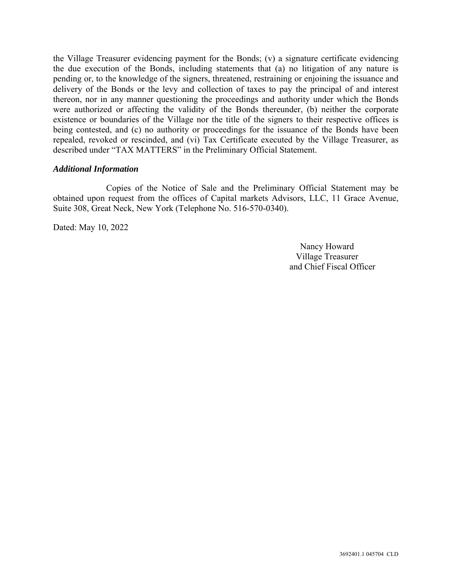the Village Treasurer evidencing payment for the Bonds; (v) a signature certificate evidencing the due execution of the Bonds, including statements that (a) no litigation of any nature is pending or, to the knowledge of the signers, threatened, restraining or enjoining the issuance and delivery of the Bonds or the levy and collection of taxes to pay the principal of and interest thereon, nor in any manner questioning the proceedings and authority under which the Bonds were authorized or affecting the validity of the Bonds thereunder, (b) neither the corporate existence or boundaries of the Village nor the title of the signers to their respective offices is being contested, and (c) no authority or proceedings for the issuance of the Bonds have been repealed, revoked or rescinded, and (vi) Tax Certificate executed by the Village Treasurer, as described under "TAX MATTERS" in the Preliminary Official Statement.

## *Additional Information*

Copies of the Notice of Sale and the Preliminary Official Statement may be obtained upon request from the offices of Capital markets Advisors, LLC, 11 Grace Avenue, Suite 308, Great Neck, New York (Telephone No. 516-570-0340).

Dated: May 10, 2022

Nancy Howard Village Treasurer and Chief Fiscal Officer